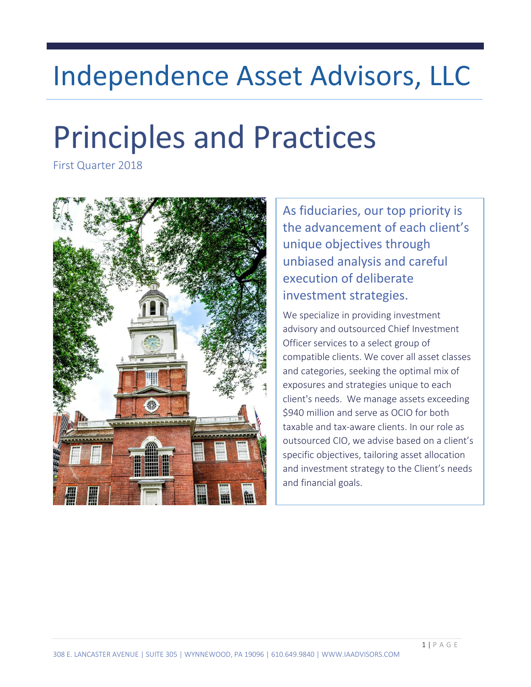# Independence Asset Advisors, LLC

# Principles and Practices

First Quarter 2018



As fiduciaries, our top priority is the advancement of each client's unique objectives through unbiased analysis and careful execution of deliberate investment strategies.

We specialize in providing investment advisory and outsourced Chief Investment Officer services to a select group of compatible clients. We cover all asset classes and categories, seeking the optimal mix of exposures and strategies unique to each client's needs. We manage assets exceeding \$940 million and serve as OCIO for both taxable and tax-aware clients. In our role as outsourced CIO, we advise based on a client's specific objectives, tailoring asset allocation and investment strategy to the Client's needs and financial goals.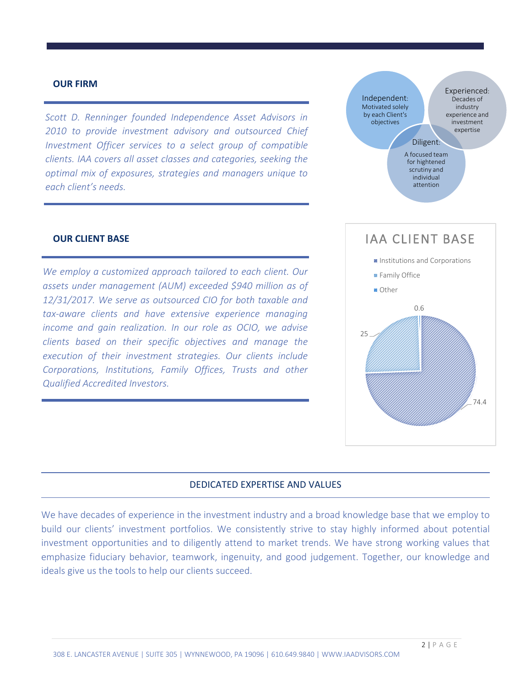#### **OUR FIRM**

*Scott D. Renninger founded Independence Asset Advisors in 2010 to provide investment advisory and outsourced Chief Investment Officer services to a select group of compatible clients. IAA covers all asset classes and categories, seeking the optimal mix of exposures, strategies and managers unique to each client's needs.*

#### **OUR CLIENT BASE**

*We employ a customized approach tailored to each client. Our assets under management (AUM) exceeded \$940 million as of 12/31/2017. We serve as outsourced CIO for both taxable and tax-aware clients and have extensive experience managing income and gain realization. In our role as OCIO, we advise clients based on their specific objectives and manage the execution of their investment strategies. Our clients include Corporations, Institutions, Family Offices, Trusts and other Qualified Accredited Investors.* 



#### DEDICATED EXPERTISE AND VALUES

We have decades of experience in the investment industry and a broad knowledge base that we employ to build our clients' investment portfolios. We consistently strive to stay highly informed about potential investment opportunities and to diligently attend to market trends. We have strong working values that emphasize fiduciary behavior, teamwork, ingenuity, and good judgement. Together, our knowledge and ideals give us the tools to help our clients succeed.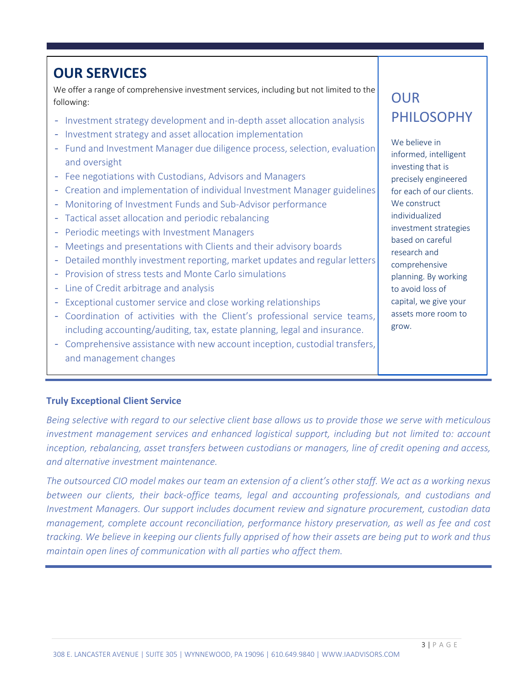### **OUR SERVICES**

We offer a range of comprehensive investment services, including but not limited to the following:

- Investment strategy development and in-depth asset allocation analysis
- Investment strategy and asset allocation implementation
- Fund and Investment Manager due diligence process, selection, evaluation and oversight
- Fee negotiations with Custodians, Advisors and Managers
- Creation and implementation of individual Investment Manager guidelines
- Monitoring of Investment Funds and Sub-Advisor performance
- Tactical asset allocation and periodic rebalancing
- Periodic meetings with Investment Managers
- Meetings and presentations with Clients and their advisory boards
- Detailed monthly investment reporting, market updates and regular letters
- Provision of stress tests and Monte Carlo simulations
- Line of Credit arbitrage and analysis
- Exceptional customer service and close working relationships
- Coordination of activities with the Client's professional service teams, including accounting/auditing, tax, estate planning, legal and insurance.
- Comprehensive assistance with new account inception, custodial transfers, and management changes

## OUR PHILOSOPHY

We believe in informed, intelligent investing that is precisely engineered for each of our clients. We construct individualized investment strategies based on careful research and comprehensive planning. By working to avoid loss of capital, we give your assets more room to grow.

#### **Truly Exceptional Client Service**

*Being selective with regard to our selective client base allows us to provide those we serve with meticulous investment management services and enhanced logistical support, including but not limited to: account inception, rebalancing, asset transfers between custodians or managers, line of credit opening and access, and alternative investment maintenance.* 

*The outsourced CIO model makes our team an extension of a client's other staff. We act as a working nexus between our clients, their back-office teams, legal and accounting professionals, and custodians and Investment Managers. Our support includes document review and signature procurement, custodian data management, complete account reconciliation, performance history preservation, as well as fee and cost tracking. We believe in keeping our clients fully apprised of how their assets are being put to work and thus maintain open lines of communication with all parties who affect them.*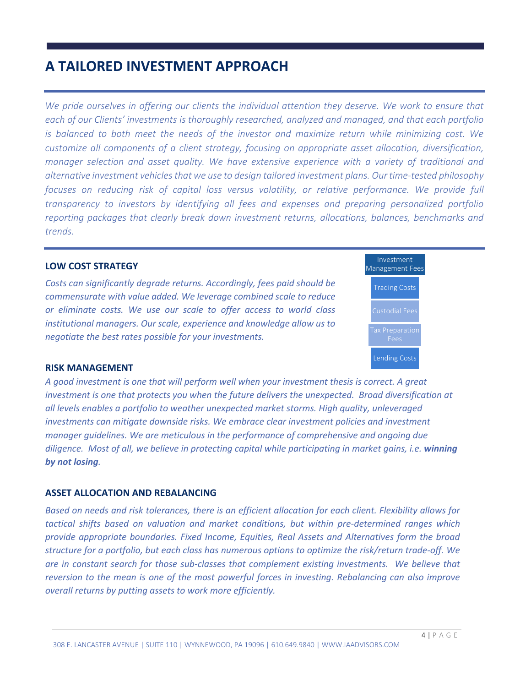### **A TAILORED INVESTMENT APPROACH**

We pride ourselves in offering our clients the individual attention they deserve. We work to ensure that *each of our Clients' investments is thoroughly researched, analyzed and managed, and that each portfolio is balanced to both meet the needs of the investor and maximize return while minimizing cost. We customize all components of a client strategy, focusing on appropriate asset allocation, diversification, manager selection and asset quality. We have extensive experience with a variety of traditional and alternative investment vehicles that we use to design tailored investment plans. Our time-tested philosophy focuses on reducing risk of capital loss versus volatility, or relative performance. We provide full transparency to investors by identifying all fees and expenses and preparing personalized portfolio reporting packages that clearly break down investment returns, allocations, balances, benchmarks and trends.* 

#### **LOW COST STRATEGY**

*Costs can significantly degrade returns. Accordingly, fees paid should be commensurate with value added. We leverage combined scale to reduce or eliminate costs. We use our scale to offer access to world class institutional managers. Our scale, experience and knowledge allow us to negotiate the best rates possible for your investments.*



#### **RISK MANAGEMENT**

*A good investment is one that will perform well when your investment thesis is correct. A great investment is one that protects you when the future delivers the unexpected. Broad diversification at all levels enables a portfolio to weather unexpected market storms. High quality, unleveraged investments can mitigate downside risks. We embrace clear investment policies and investment manager guidelines. We are meticulous in the performance of comprehensive and ongoing due diligence. Most of all, we believe in protecting capital while participating in market gains, i.e. winning by not losing.* 

#### **ASSET ALLOCATION AND REBALANCING**

*Based on needs and risk tolerances, there is an efficient allocation for each client. Flexibility allows for tactical shifts based on valuation and market conditions, but within pre-determined ranges which provide appropriate boundaries. Fixed Income, Equities, Real Assets and Alternatives form the broad structure for a portfolio, but each class has numerous options to optimize the risk/return trade-off. We are in constant search for those sub-classes that complement existing investments. We believe that reversion to the mean is one of the most powerful forces in investing. Rebalancing can also improve overall returns by putting assets to work more efficiently.*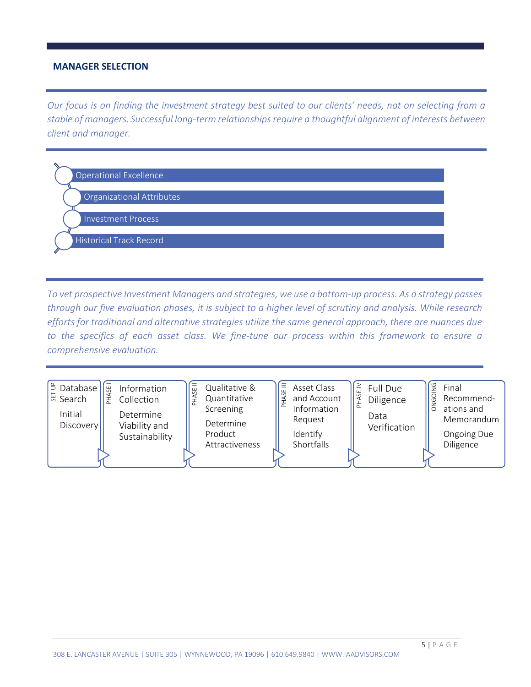#### **MANAGER SELECTION**

*Our focus is on finding the investment strategy best suited to our clients' needs, not on selecting from a stable of managers. Successful long-term relationships require a thoughtful alignment of interests between client and manager.*

| <b>Operational Excellence</b>    |
|----------------------------------|
|                                  |
| <b>Organizational Attributes</b> |
|                                  |
| <b>Investment Process</b>        |
|                                  |
| <b>Historical Track Record</b>   |
|                                  |

*To vet prospective Investment Managers and strategies, we use a bottom-up process. As a strategy passes through our five evaluation phases, it is subject to a higher level of scrutiny and analysis. While research efforts for traditional and alternative strategies utilize the same general approach, there are nuances due to the specifics of each asset class. We fine-tune our process within this framework to ensure a comprehensive evaluation.*

| $\tilde{=}$<br>$\pm$<br>Information<br>ations and<br>Screening<br>Initial<br>Determine<br>Data<br>Request<br>Determine<br>Discovery<br>Viability and<br>Verification<br>Identify<br>Product<br>Sustainability<br>Shortfalls<br>Diligence<br>Attractiveness | I <sup>5</sup> Database  <br><b>SE</b><br>₩ Search | Information<br>说<br>Collection | Qualitative &<br>Quantitative | Ξ<br>Asset Class<br>and Account | Full Due<br>Diligence | Final<br>Recommend-<br>Memorandum<br>Ongoing Due |
|------------------------------------------------------------------------------------------------------------------------------------------------------------------------------------------------------------------------------------------------------------|----------------------------------------------------|--------------------------------|-------------------------------|---------------------------------|-----------------------|--------------------------------------------------|
|------------------------------------------------------------------------------------------------------------------------------------------------------------------------------------------------------------------------------------------------------------|----------------------------------------------------|--------------------------------|-------------------------------|---------------------------------|-----------------------|--------------------------------------------------|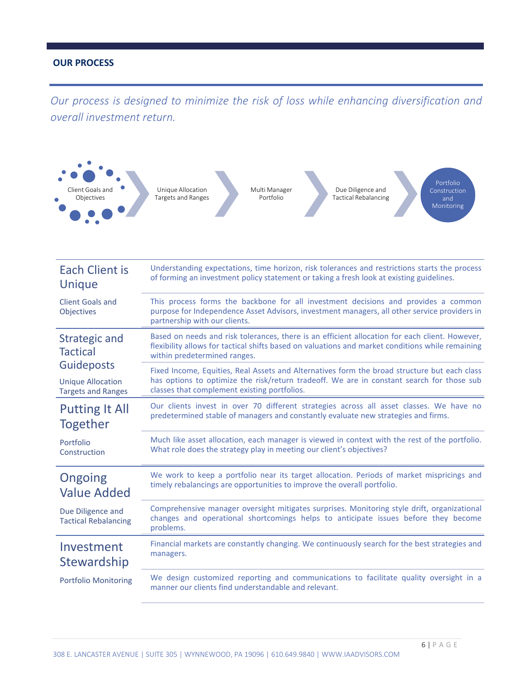#### **OUR PROCESS**

*Our process is designed to minimize the risk of loss while enhancing diversification and overall investment return.* 



| <b>Each Client is</b>                            | Understanding expectations, time horizon, risk tolerances and restrictions starts the process                                                                                                                                      |
|--------------------------------------------------|------------------------------------------------------------------------------------------------------------------------------------------------------------------------------------------------------------------------------------|
| Unique                                           | of forming an investment policy statement or taking a fresh look at existing guidelines.                                                                                                                                           |
| <b>Client Goals and</b><br><b>Objectives</b>     | This process forms the backbone for all investment decisions and provides a common<br>purpose for Independence Asset Advisors, investment managers, all other service providers in<br>partnership with our clients.                |
| Strategic and<br><b>Tactical</b>                 | Based on needs and risk tolerances, there is an efficient allocation for each client. However,<br>flexibility allows for tactical shifts based on valuations and market conditions while remaining<br>within predetermined ranges. |
| <b>Guideposts</b>                                | Fixed Income, Equities, Real Assets and Alternatives form the broad structure but each class                                                                                                                                       |
| <b>Unique Allocation</b>                         | has options to optimize the risk/return tradeoff. We are in constant search for those sub                                                                                                                                          |
| <b>Targets and Ranges</b>                        | classes that complement existing portfolios.                                                                                                                                                                                       |
| <b>Putting It All</b>                            | Our clients invest in over 70 different strategies across all asset classes. We have no                                                                                                                                            |
| Together                                         | predetermined stable of managers and constantly evaluate new strategies and firms.                                                                                                                                                 |
| Portfolio                                        | Much like asset allocation, each manager is viewed in context with the rest of the portfolio.                                                                                                                                      |
| Construction                                     | What role does the strategy play in meeting our client's objectives?                                                                                                                                                               |
| Ongoing                                          | We work to keep a portfolio near its target allocation. Periods of market mispricings and                                                                                                                                          |
| <b>Value Added</b>                               | timely rebalancings are opportunities to improve the overall portfolio.                                                                                                                                                            |
| Due Diligence and<br><b>Tactical Rebalancing</b> | Comprehensive manager oversight mitigates surprises. Monitoring style drift, organizational<br>changes and operational shortcomings helps to anticipate issues before they become<br>problems.                                     |
| Investment                                       | Financial markets are constantly changing. We continuously search for the best strategies and                                                                                                                                      |
| <b>Stewardship</b>                               | managers.                                                                                                                                                                                                                          |
| <b>Portfolio Monitoring</b>                      | We design customized reporting and communications to facilitate quality oversight in a<br>manner our clients find understandable and relevant.                                                                                     |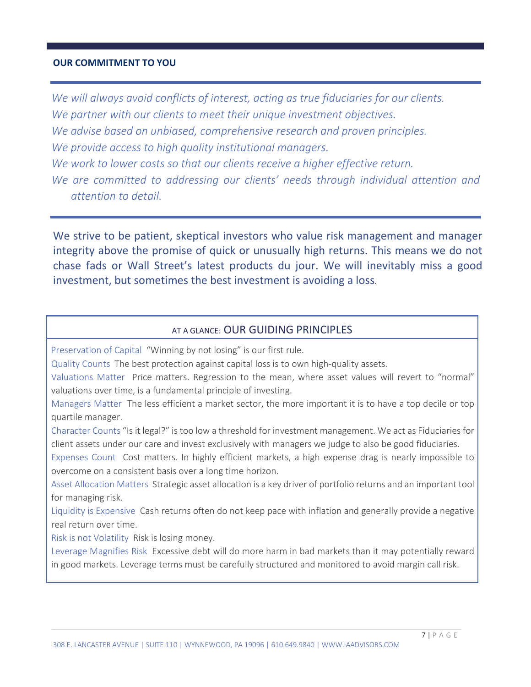#### **OUR COMMITMENT TO YOU**

*We will always avoid conflicts of interest, acting as true fiduciaries for our clients. We partner with our clients to meet their unique investment objectives. We advise based on unbiased, comprehensive research and proven principles. We provide access to high quality institutional managers. We work to lower costs so that our clients receive a higher effective return. We are committed to addressing our clients' needs through individual attention and attention to detail.*

We strive to be patient, skeptical investors who value risk management and manager integrity above the promise of quick or unusually high returns. This means we do not chase fads or Wall Street's latest products du jour. We will inevitably miss a good investment, but sometimes the best investment is avoiding a loss.

#### AT A GLANCE: OUR GUIDING PRINCIPLES

Preservation of Capital "Winning by not losing" is our first rule.

Quality Counts The best protection against capital loss is to own high-quality assets.

Valuations Matter Price matters. Regression to the mean, where asset values will revert to "normal" valuations over time, is a fundamental principle of investing.

Managers Matter The less efficient a market sector, the more important it is to have a top decile or top quartile manager.

Character Counts "Is it legal?" is too low a threshold for investment management. We act as Fiduciaries for client assets under our care and invest exclusively with managers we judge to also be good fiduciaries.

Expenses Count Cost matters. In highly efficient markets, a high expense drag is nearly impossible to overcome on a consistent basis over a long time horizon.

Asset Allocation Matters Strategic asset allocation is a key driver of portfolio returns and an important tool for managing risk.

Liquidity is Expensive Cash returns often do not keep pace with inflation and generally provide a negative real return over time.

Risk is not Volatility Risk is losing money.

Leverage Magnifies Risk Excessive debt will do more harm in bad markets than it may potentially reward in good markets. Leverage terms must be carefully structured and monitored to avoid margin call risk.